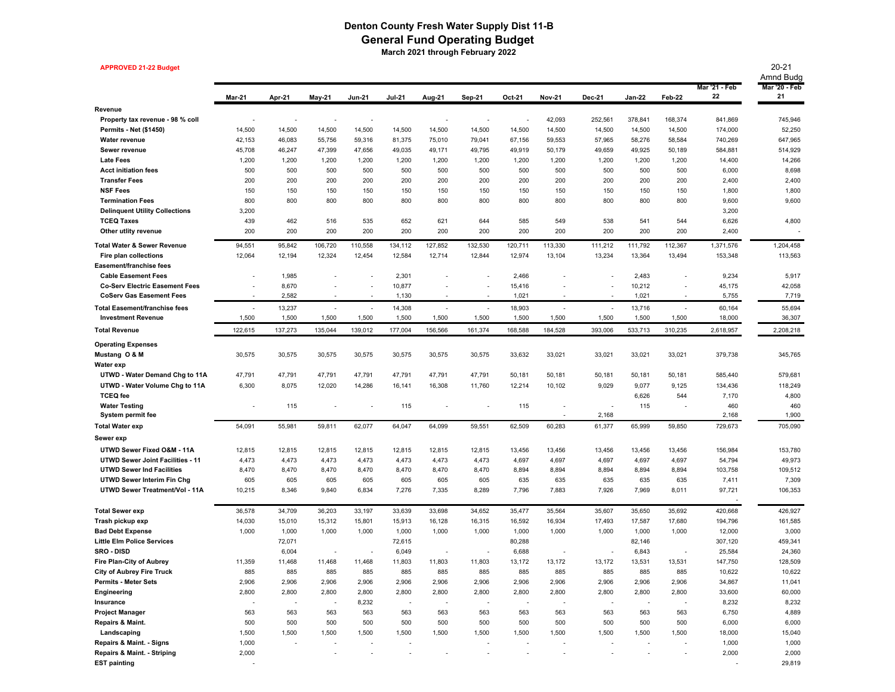## **Denton County Fresh Water Supply Dist 11-B General Fund Operating Budget March 2021 through February 2022**

**APPROVED 21-22 Budget** 20-21 Amnd Budg Mar-21 Apr-21 May-21 Jun-21 Jul-21 Aug-21 Sep-21 Oct-21 Nov-21 Dec-21 Jan-22 Feb-22  **Mar '21 - Feb 22 Mar '20 - Feb 21 RevenueProperty tax revenue - 98 % coll** - - - - - - - 42,093 252,561 378,841 168,374 841,869 745,946 **Permits - Net (\$1450)** 14,500 14,500 14,500 14,500 14,500 14,500 14,500 14,500 14,500 14,500 14,500 14,500 174,000 52,250 **Water revenue** 42,153 46,083 55,756 59,316 81,375 75,010 79,041 67,156 59,553 57,965 58,276 58,584 740,269 647,965 **Sewer revenue** 45,708 46,247 47,399 47,656 49,035 49,171 49,795 49,919 50,179 49,059 49,925 50,189 584,881 514,929 **Late Fees** 1,200 1,200 1,200 1,200 1,200 1,200 1,200 1,200 1,200 1,200 1,200 1,200 14,400 14,266 **Acct initiation fees** 500 500 500 500 500 500 500 500 500 500 500 500 6,000 8,698 **Transfer Fees** 200 200 200 200 200 200 200 200 200 200 200 200 200 2,400 2,400 **NSF Fees** 150 150 150 150 150 150 150 150 150 150 150 150 150 1,800 1,800 **Termination Fees** 800 800 800 800 800 800 800 800 800 800 800 800 800 9,600 9,600 **Delinquent Utility Collections** 3,200 3,200 3,200 3,200 3,200 3,200 3,200 3,200 3,200 3,200 3,200 3,200 3,200 3,200 3,200 3,200 3,200 3,200 3,200 3,200 3,200 3,200 3,200 3,200 3,200 3,200 3,200 3,200 3,200 3,200 3,200 3,2 **TCEQ Taxes** 439 462 439 516 535 652 621 644 585 549 538 541 544 6,626 4,800 **Other utlity revenue** 200 200 200 200 200 200 200 200 200 2,400 -**Total Water & Sewer Revenue** 94,551 95,842 106,720 110,558 134,112 127,852 132,530 120,711 113,330 111,212 111,792 112,367 1,371,576 1,204,458 **Fire plan collections** 12,194 12,064 12,324 12,454 12,584 12,714 12,844 12,974 13,104 13,234 13,364 13,494 153,348 113,563 **Easement/franchise feesCable Easement Fees** 1,985 2,301 2,466 2,483 9,234 5,917 **Co-Serv Electric Easement Fees 8,670** - 10,877 - 15,416 - 10,212 - 45,175 42,058 **CoServ Gas Easement Fees** 2,582 - 1,130 - 1,130 - 1,021 - 1,021 - 5,755 7,719 **Total Easement/franchise fees** 13,237 - 14,308 - 18,903 - 13,716 - 60,164 55,694 **Investment Revenue** 1,500 1,500 1,500 1,500 1,500 1,500 1,500 1,500 36,307 **Total Revenue** 137,273 122,615 135,044 139,012 177,004 156,566 161,374 168,588 184,528 393,006 533,713 310,235 2,618,957 2,208,218 **Operating Expenses Mustang O & M** 30,575 30,575 30,575 30,575 30,575 30,575 30,575 33,632 33,021 33,021 33,021 33,021 379,738 345,765 **Water exp UTWD - Water Demand Chg to 11A** 47,791 47,791 47,791 47,791 47,791 47,791 47,791 50,181 50,181 50,181 50,181 50,181 585,440 579,681 **UTWD - Water Volume Chg to 11A** 8,075 6,300 12,020 14,286 16,141 16,308 11,760 12,214 10,102 9,029 9,077 9,125 134,436 118,249 **TCEQ fee** 6,626 544 7,170 4,800 **Water Testing** 115 - - - 115 - - 115 - - 115 - 460 460 **System permit fee** 2,168 - 2,168 1,900 **Total Water exp** 55,981 54,091 59,811 62,077 64,047 64,099 59,551 62,509 60,283 61,377 65,999 59,850 729,673 705,090 **Sewer exp UTWD Sewer Fixed O&M - 11A** 12,815 12,815 12,815 12,815 12,815 12,815 12,815 13,456 13,456 13,456 13,456 13,456 156,984 153,780 **UTWD Sewer Joint Facilities - 11** 4,473 4,473 4,473 4,473 4,473 4,473 4,473 4,697 4,697 4,697 4,697 4,697 54,794 49,973 **UTWD Sewer Ind Facilities** 8,470 8,470 8,470 8,470 8,470 8,470 8,470 8,894 8,894 8,894 8,894 8,894 103,758 109,512 **UTWD Sewer Interim Fin Chg** 605 605 605 605 605 635 635 635 7,411 7,309 **UTWD Sewer Treatment/Vol - 11A** 8,346 10,215 9,840 6,834 7,276 7,335 8,289 7,796 7,883 7,926 7,969 8,011 97,721 106,353 and the state of the state of the state of the state of the state of the state of the state of the state of th **Total Sewer exp** 34,709 36,578 36,203 33,197 33,639 33,698 34,652 35,477 35,564 35,607 35,650 35,692 420,668 426,927 **Trash pickup exp** 14,030 15,010 15,312 15,801 15,913 16,128 16,515 16,585 16,934 17,493 17,587 17,680 194,796 161,585 **Bad Debt Expense** 1,000 1,000 1,000 1,000 1,000 1,000 1,000 1,000 1,000 1,000 1,000 1,000 12,000 3,000 **Little Elm Police Services** 72,071 72,615 80,288 82,146 307,120 459,341 **SRO - DISD** 6,004 - - 6,049 - - 6,688 - - 6,843 - 25,584 24,360 **Fire Plan-City of Aubrey** 11,468 11,359 11,468 11,468 11,803 11,803 11,803 13,172 13,172 13,172 13,531 13,531 147,750 128,509 **City of Aubrey Fire Truck** 885 885 885 885 885 885 885 885 10,622 10,622 **Permits - Meter Sets** 2,906 2,906 2,906 2,906 2,906 2,906 2,906 2,906 2,906 2,906 2,906 2,906 34,867 11,041 **Engineering** 2,800 2,800 2,800 2,800 2,800 2,800 2,800 2,800 2,800 2,800 2,800 2,800 33,600 60,000 **Insurance** -- - - - - - - - 8,232 8,232 8,232 8,232 8,232 8,232 8,232 8,232 8,232 8,232 8,232 8,232 8,232 8,232 8,232 8,232 **Project Manager** 563 563 563 563 563 563 563 563 563 6,750 4,889 **Repairs & Maint.** 500 500 500 500 500 500 500 500 500 500 500 500 6,000 6,000 **Landscaping** 1,500 1,500 1,500 1,500 1,500 1,500 1,500 1,500 1,500 1,500 1,500 1,500 18,000 15,040 **Repairs & Maint. - Signs** - 1,000 - - - - - - - - - 1,000 1,000 **Repairs & Maint. - Striping** - 2,000 - - - - - - - - - 2,000 2,000

**EST painting** - 29,819 -